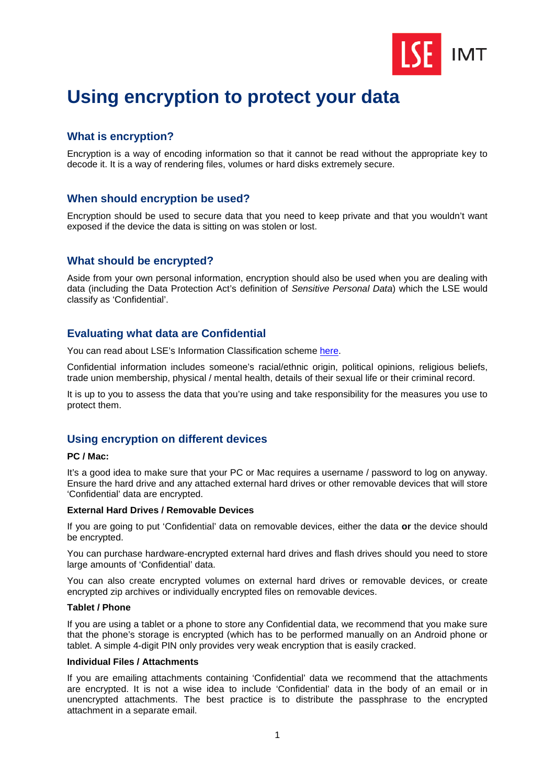

# **Using encryption to protect your data**

# **What is encryption?**

Encryption is a way of encoding information so that it cannot be read without the appropriate key to decode it. It is a way of rendering files, volumes or hard disks extremely secure.

# **When should encryption be used?**

Encryption should be used to secure data that you need to keep private and that you wouldn't want exposed if the device the data is sitting on was stolen or lost.

# **What should be encrypted?**

Aside from your own personal information, encryption should also be used when you are dealing with data (including the Data Protection Act's definition of *Sensitive Personal Data*) which the LSE would classify as 'Confidential'.

# **Evaluating what data are Confidential**

You can read about LSE's Information Classification scheme [here.](http://www2.lse.ac.uk/intranet/LSEServices/itservices/about/policies/documents/infoSecClassification.pdf) 

Confidential information includes someone's racial/ethnic origin, political opinions, religious beliefs, trade union membership, physical / mental health, details of their sexual life or their criminal record.

It is up to you to assess the data that you're using and take responsibility for the measures you use to protect them.

# **Using encryption on different devices**

## **PC / Mac:**

It's a good idea to make sure that your PC or Mac requires a username / password to log on anyway. Ensure the hard drive and any attached external hard drives or other removable devices that will store 'Confidential' data are encrypted.

#### **External Hard Drives / Removable Devices**

If you are going to put 'Confidential' data on removable devices, either the data **or** the device should be encrypted.

You can purchase hardware-encrypted external hard drives and flash drives should you need to store large amounts of 'Confidential' data.

You can also create encrypted volumes on external hard drives or removable devices, or create encrypted zip archives or individually encrypted files on removable devices.

## **Tablet / Phone**

If you are using a tablet or a phone to store any Confidential data, we recommend that you make sure that the phone's storage is encrypted (which has to be performed manually on an Android phone or tablet. A simple 4-digit PIN only provides very weak encryption that is easily cracked.

## **Individual Files / Attachments**

If you are emailing attachments containing 'Confidential' data we recommend that the attachments are encrypted. It is not a wise idea to include 'Confidential' data in the body of an email or in unencrypted attachments. The best practice is to distribute the passphrase to the encrypted attachment in a separate email.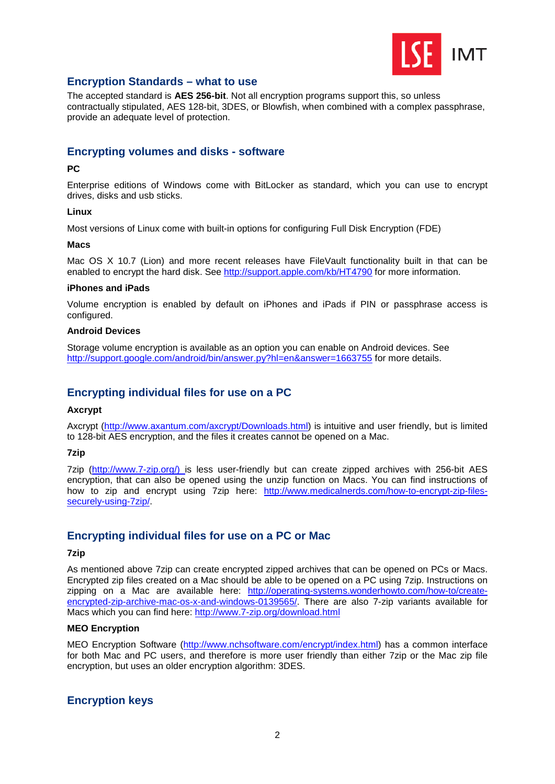

## **Encryption Standards – what to use**

The accepted standard is **AES 256-bit**. Not all encryption programs support this, so unless contractually stipulated, AES 128-bit, 3DES, or Blowfish, when combined with a complex passphrase, provide an adequate level of protection.

# **Encrypting volumes and disks - software**

## **PC**

Enterprise editions of Windows come with BitLocker as standard, which you can use to encrypt drives, disks and usb sticks.

## **Linux**

Most versions of Linux come with built-in options for configuring Full Disk Encryption (FDE)

#### **Macs**

Mac OS X 10.7 (Lion) and more recent releases have FileVault functionality built in that can be enabled to encrypt the hard disk. See<http://support.apple.com/kb/HT4790> for more information.

#### **iPhones and iPads**

Volume encryption is enabled by default on iPhones and iPads if PIN or passphrase access is configured.

#### **Android Devices**

Storage volume encryption is available as an option you can enable on Android devices. See <http://support.google.com/android/bin/answer.py?hl=en&answer=1663755> for more details.

## **Encrypting individual files for use on a PC**

#### **Axcrypt**

Axcrypt [\(http://www.axantum.com/axcrypt/Downloads.html\)](http://www.axantum.com/axcrypt/Downloads.html) is intuitive and user friendly, but is limited to 128-bit AES encryption, and the files it creates cannot be opened on a Mac.

#### **7zip**

7zip [\(http://www.7-zip.org/\)](http://www.7-zip.org/) is less user-friendly but can create zipped archives with 256-bit AES encryption, that can also be opened using the unzip function on Macs. You can find instructions of how to zip and encrypt using 7zip here: [http://www.medicalnerds.com/how-to-encrypt-zip-files](http://www.medicalnerds.com/how-to-encrypt-zip-files-securely-using-7zip/)[securely-using-7zip/.](http://www.medicalnerds.com/how-to-encrypt-zip-files-securely-using-7zip/)

## **Encrypting individual files for use on a PC or Mac**

#### **7zip**

As mentioned above 7zip can create encrypted zipped archives that can be opened on PCs or Macs. Encrypted zip files created on a Mac should be able to be opened on a PC using 7zip. Instructions on zipping on a Mac are available here: [http://operating-systems.wonderhowto.com/how-to/create](http://operating-systems.wonderhowto.com/how-to/create-encrypted-zip-archive-mac-os-x-and-windows-0139565/)[encrypted-zip-archive-mac-os-x-and-windows-0139565/.](http://operating-systems.wonderhowto.com/how-to/create-encrypted-zip-archive-mac-os-x-and-windows-0139565/) There are also 7-zip variants available for Macs which you can find here: http://www.7-zip.org/download.html

## **MEO Encryption**

MEO Encryption Software [\(http://www.nchsoftware.com/encrypt/index.html\)](http://www.nchsoftware.com/encrypt/index.html) has a common interface for both Mac and PC users, and therefore is more user friendly than either 7zip or the Mac zip file encryption, but uses an older encryption algorithm: 3DES.

## **Encryption keys**